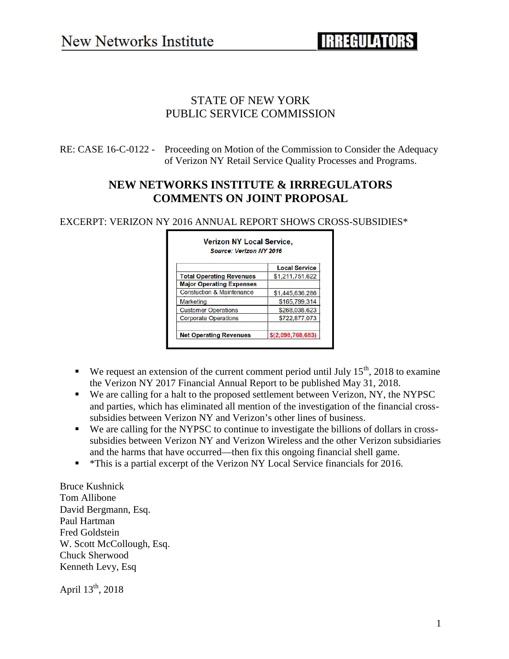## STATE OF NEW YORK PUBLIC SERVICE COMMISSION

RE: CASE 16-C-0122 - Proceeding on Motion of the Commission to Consider the Adequacy of Verizon NY Retail Service Quality Processes and Programs.

## **NEW NETWORKS INSTITUTE & IRRREGULATORS COMMENTS ON JOINT PROPOSAL**

Verizon NY Local Service.

EXCERPT: VERIZON NY 2016 ANNUAL REPORT SHOWS CROSS-SUBSIDIES\*

|                                      | <b>Local Service</b> |
|--------------------------------------|----------------------|
| <b>Total Operating Revenues</b>      | \$1,211,751,622      |
| <b>Major Operating Expenses</b>      |                      |
| <b>Constuction &amp; Maintenance</b> | \$1,445,636,286      |
| <b>Marketing</b>                     | \$165,799,314        |
| <b>Customer Operations</b>           | \$268,038,623        |
| <b>Corporate Operations</b>          | \$722,877,073        |

#### We request an extension of the current comment period until July  $15<sup>th</sup>$ , 2018 to examine the Verizon NY 2017 Financial Annual Report to be published May 31, 2018.

- We are calling for a halt to the proposed settlement between Verizon, NY, the NYPSC and parties, which has eliminated all mention of the investigation of the financial cross subsidies between Verizon NY and Verizon's other lines of business.
- We are calling for the NYPSC to continue to investigate the billions of dollars in cross subsidies between Verizon NY and Verizon Wireless and the other Verizon subsidiaries and the harms that have occurred—then fix this ongoing financial shell game.
- \*This is a partial excerpt of the Verizon NY Local Service financials for 2016.

Bruce Kushnick Tom Allibone David Bergmann, Esq. Paul Hartman Fred Goldstein W. Scott McCollough, Esq. Chuck Sherwood Kenneth Levy, Esq

April  $13^{th}$ , 2018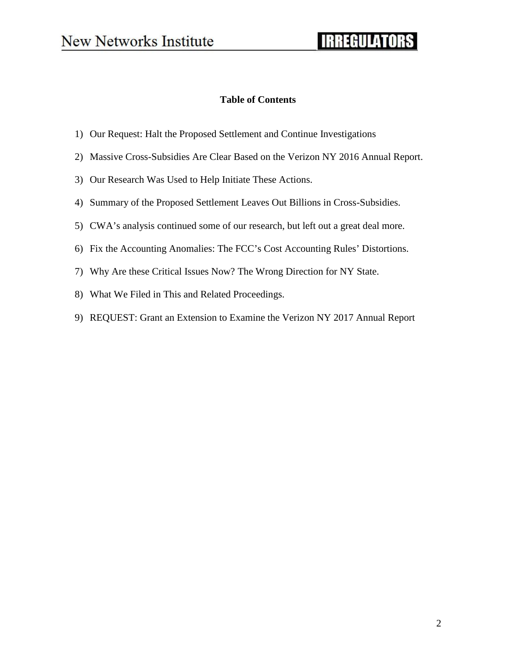# **IRREGULATORS**

#### **Table of Contents**

- 1) Our Request: Halt the Proposed Settlement and Continue Investigations
- 2) Massive Cross-Subsidies Are Clear Based on the Verizon NY 2016 Annual Report.
- 3) Our Research Was Used to Help Initiate These Actions.
- 4) Summary of the Proposed Settlement Leaves Out Billions in Cross-Subsidies.
- 5) CWA's analysis continued some of our research, but left out a great deal more.
- 6) Fix the Accounting Anomalies: The FCC's Cost Accounting Rules' Distortions.
- 7) Why Are these Critical Issues Now? The Wrong Direction for NY State.
- 8) What We Filed in This and Related Proceedings.
- 9) REQUEST: Grant an Extension to Examine the Verizon NY 2017 Annual Report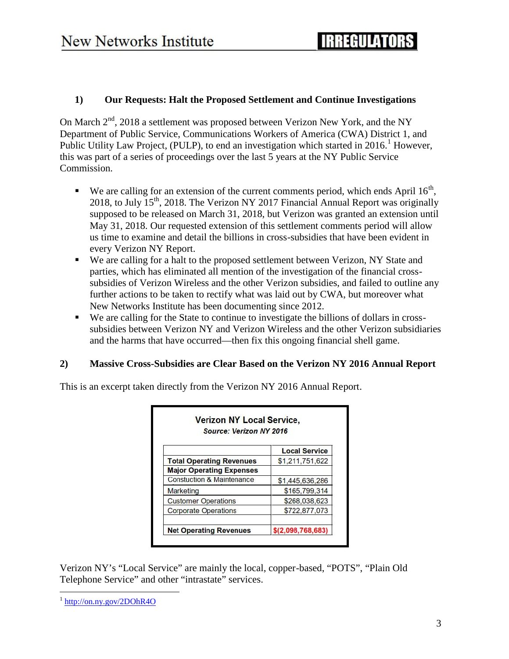#### **1) Our Requests: Halt the Proposed Settlement and Continue Investigations**

On March  $2<sup>nd</sup>$ , 2018 a settlement was proposed between Verizon New York, and the NY Department of Public Service, Communications Workers of America (CWA) District 1, and Public Utility Law Project, (PULP), to end an investigation which started in 2016.<sup>1</sup> However, this was part of a series of proceedings over the last 5 years at the NY Public Service Commission.

- $\bullet$  We are calling for an extension of the current comments period, which ends April 16<sup>th</sup>, 2018, to July  $15<sup>th</sup>$ , 2018. The Verizon NY 2017 Financial Annual Report was originally supposed to be released on March 31, 2018, but Verizon was granted an extension until May 31, 2018. Our requested extension of this settlement comments period will allow us time to examine and detail the billions in cross-subsidies that have been evident in every Verizon NY Report.
- We are calling for a halt to the proposed settlement between Verizon, NY State and parties, which has eliminated all mention of the investigation of the financial cross subsidies of Verizon Wireless and the other Verizon subsidies, and failed to outline any further actions to be taken to rectify what was laid out by CWA, but moreover what New Networks Institute has been documenting since 2012.
- We are calling for the State to continue to investigate the billions of dollars in cross subsidies between Verizon NY and Verizon Wireless and the other Verizon subsidiaries and the harms that have occurred—then fix this ongoing financial shell game.

#### **2) Massive Cross-Subsidies are Clear Based on the Verizon NY 2016 Annual Report**

This is an excerpt taken directly from the Verizon NY 2016 Annual Report.

|                                      | <b>Local Service</b> |
|--------------------------------------|----------------------|
| <b>Total Operating Revenues</b>      | \$1,211,751,622      |
| <b>Major Operating Expenses</b>      |                      |
| <b>Constuction &amp; Maintenance</b> | \$1,445,636,286      |
| Marketing                            | \$165,799,314        |
| <b>Customer Operations</b>           | \$268,038,623        |
| <b>Corporate Operations</b>          | \$722,877,073        |

Verizon NY's "Local Service" are mainly the local, copper-based, "POTS", "Plain Old Telephone Service" and other "intrastate" services.

<sup>1</sup> http://on.ny.gov/2DOhR4O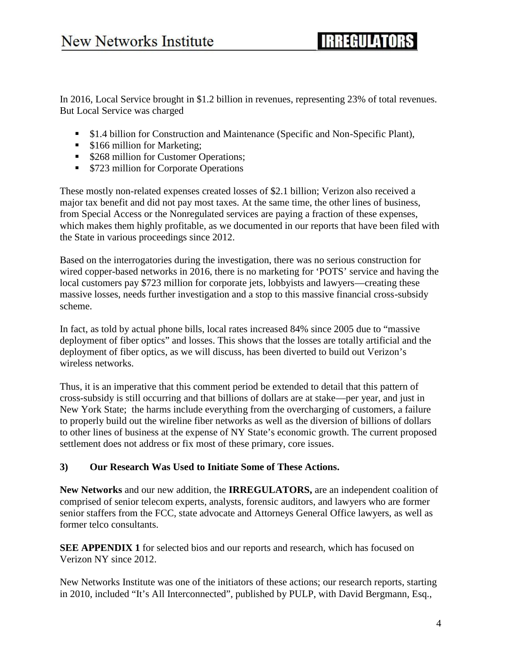# **IRREGILIATORS**

In 2016, Local Service brought in \$1.2 billion in revenues, representing 23% of total revenues. But Local Service was charged

- **51.4 billion for Construction and Maintenance (Specific and Non-Specific Plant),**
- \$166 million for Marketing;
- **S268 million for Customer Operations;**
- **S723** million for Corporate Operations

These mostly non-related expenses created losses of \$2.1 billion; Verizon also received a major tax benefit and did not pay most taxes. At the same time, the other lines of business, from Special Access or the Nonregulated services are paying a fraction of these expenses, which makes them highly profitable, as we documented in our reports that have been filed with the State in various proceedings since 2012.

Based on the interrogatories during the investigation, there was no serious construction for wired copper-based networks in 2016, there is no marketing for 'POTS' service and having the local customers pay \$723 million for corporate jets, lobbyists and lawyers—creating these massive losses, needs further investigation and a stop to this massive financial cross-subsidy scheme.

In fact, as told by actual phone bills, local rates increased 84% since 2005 due to "massive deployment of fiber optics" and losses. This shows that the losses are totally artificial and the deployment of fiber optics, as we will discuss, has been diverted to build out Verizon's wireless networks.

Thus, it is an imperative that this comment period be extended to detail that this pattern of cross-subsidy is still occurring and that billions of dollars are at stake—per year, and just in New York State; the harms include everything from the overcharging of customers, a failure to properly build out the wireline fiber networks as well as the diversion of billions of dollars to other lines of business at the expense of NY State's economic growth. The current proposed settlement does not address or fix most of these primary, core issues.

#### **3) Our Research Was Used to Initiate Some of These Actions.**

**New Networks** and our new addition, the **IRREGULATORS,** are an independent coalition of comprised of senior telecom experts, analysts, forensic auditors, and lawyers who are former senior staffers from the FCC, state advocate and Attorneys General Office lawyers, as well as former telco consultants.

**SEE APPENDIX 1** for selected bios and our reports and research, which has focused on Verizon NY since 2012.

New Networks Institute was one of the initiators of these actions; our research reports, starting in 2010, included "It's All Interconnected", published by PULP, with David Bergmann, Esq.,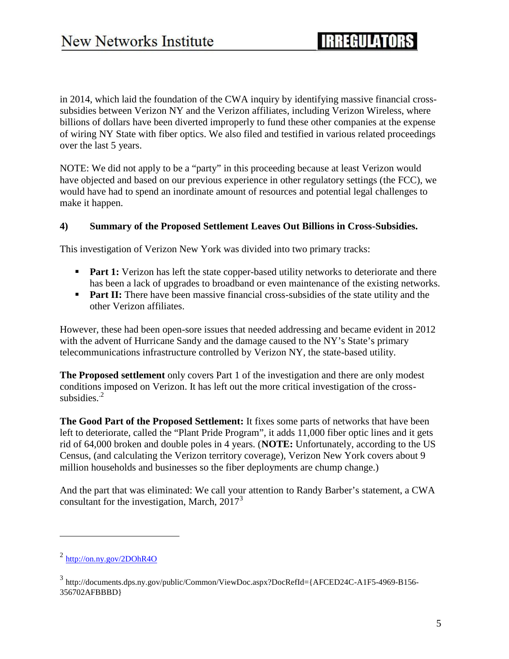in 2014, which laid the foundation of the CWA inquiry by identifying massive financial cross subsidies between Verizon NY and the Verizon affiliates, including Verizon Wireless, where billions of dollars have been diverted improperly to fund these other companies at the expense of wiring NY State with fiber optics. We also filed and testified in various related proceedings over the last 5 years.

NOTE: We did not apply to be a "party" in this proceeding because at least Verizon would have objected and based on our previous experience in other regulatory settings (the FCC), we would have had to spend an inordinate amount of resources and potential legal challenges to make it happen.

#### **4) Summary of the Proposed Settlement Leaves Out Billions in Cross-Subsidies.**

This investigation of Verizon New York was divided into two primary tracks:

- **Part 1:** Verizon has left the state copper-based utility networks to deteriorate and there has been a lack of upgrades to broadband or even maintenance of the existing networks.
- **Part II:** There have been massive financial cross-subsidies of the state utility and the other Verizon affiliates.

However, these had been open-sore issues that needed addressing and became evident in 2012 with the advent of Hurricane Sandy and the damage caused to the NY's State's primary telecommunications infrastructure controlled by Verizon NY, the state-based utility.

**The Proposed settlement** only covers Part 1 of the investigation and there are only modest conditions imposed on Verizon. It has left out the more critical investigation of the cross subsidies $<sup>2</sup>$ </sup>

**The Good Part of the Proposed Settlement:** It fixes some parts of networks that have been left to deteriorate, called the "Plant Pride Program", it adds 11,000 fiber optic lines and it gets rid of 64,000 broken and double poles in 4 years. (**NOTE:** Unfortunately, according to the US Census, (and calculating the Verizon territory coverage), Verizon New York covers about 9 million households and businesses so the fiber deployments are chump change.)

And the part that was eliminated: We call your attention to Randy Barber's statement, a CWA consultant for the investigation, March,  $2017<sup>3</sup>$ 

<sup>2</sup> http://on.ny.gov/2DOhR4O

<sup>3</sup> http://documents.dps.ny.gov/public/Common/ViewDoc.aspx?DocRefId={AFCED24C-A1F5-4969-B156- 356702AFBBBD}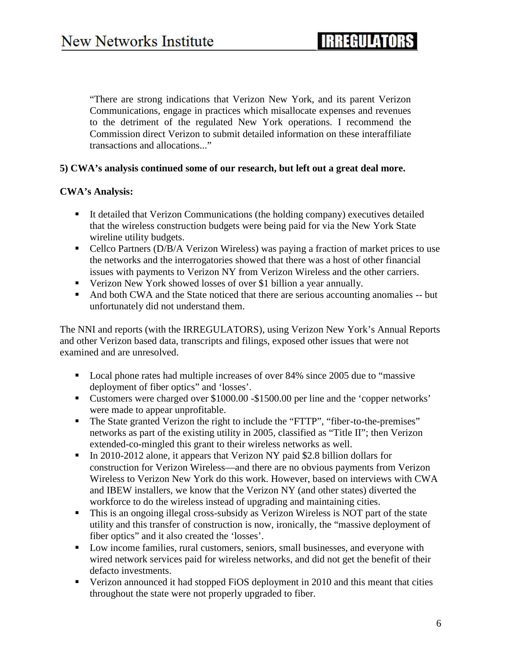"There are strong indications that Verizon New York, and its parent Verizon Communications, engage in practices which misallocate expenses and revenues to the detriment of the regulated New York operations. I recommend the Commission direct Verizon to submit detailed information on these interaffiliate transactions and allocations..."

#### **5) CWA's analysis continued some of our research, but left out a great deal more.**

#### **CWA's Analysis:**

- It detailed that Verizon Communications (the holding company) executives detailed that the wireless construction budgets were being paid for via the New York State wireline utility budgets.
- Cellco Partners (D/B/A Verizon Wireless) was paying a fraction of market prices to use the networks and the interrogatories showed that there was a host of other financial issues with payments to Verizon NY from Verizon Wireless and the other carriers.
- Verizon New York showed losses of over \$1 billion a year annually.
- And both CWA and the State noticed that there are serious accounting anomalies -- but unfortunately did not understand them.

The NNI and reports (with the IRREGULATORS), using Verizon New York's Annual Reports and other Verizon based data, transcripts and filings, exposed other issues that were not examined and are unresolved.

- Local phone rates had multiple increases of over 84% since 2005 due to "massive" deployment of fiber optics" and 'losses'.
- Customers were charged over \$1000.00 -\$1500.00 per line and the 'copper networks' were made to appear unprofitable.
- The State granted Verizon the right to include the "FTTP", "fiber-to-the-premises" networks as part of the existing utility in 2005, classified as "Title II"; then Verizon extended-co-mingled this grant to their wireless networks as well.
- In 2010-2012 alone, it appears that Verizon NY paid \$2.8 billion dollars for construction for Verizon Wireless—and there are no obvious payments from Verizon Wireless to Verizon New York do this work. However, based on interviews with CWA and IBEW installers, we know that the Verizon NY (and other states) diverted the workforce to do the wireless instead of upgrading and maintaining cities.
- This is an ongoing illegal cross-subsidy as Verizon Wireless is NOT part of the state utility and this transfer of construction is now, ironically, the "massive deployment of fiber optics" and it also created the 'losses'.
- **Low income families, rural customers, seniors, small businesses, and everyone with** wired network services paid for wireless networks, and did not get the benefit of their defacto investments.
- Verizon announced it had stopped FiOS deployment in 2010 and this meant that cities throughout the state were not properly upgraded to fiber.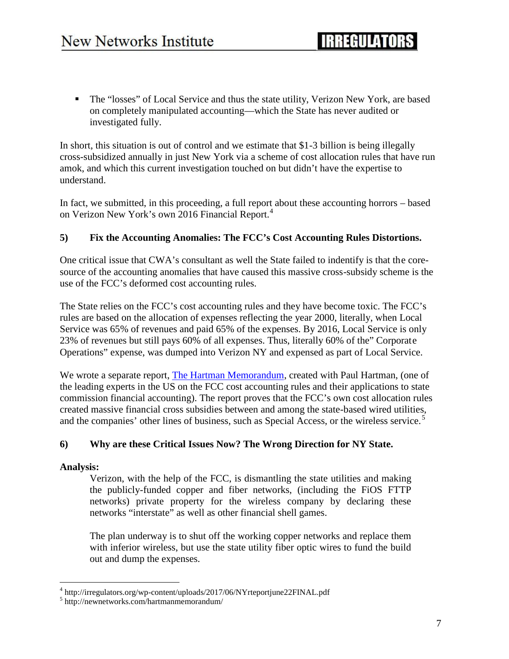The "losses" of Local Service and thus the state utility, Verizon New York, are based on completely manipulated accounting—which the State has never audited or investigated fully.

In short, this situation is out of control and we estimate that \$1-3 billion is being illegally cross-subsidized annually in just New York via a scheme of cost allocation rules that have run amok, and which this current investigation touched on but didn't have the expertise to understand.

In fact, we submitted, in this proceeding, a full report about these accounting horrors – based on Verizon New York's own 2016 Financial Report.<sup>4</sup>

### **5) Fix the Accounting Anomalies: The FCC's Cost Accounting Rules Distortions.**

One critical issue that CWA's consultant as well the State failed to indentify is that the core source of the accounting anomalies that have caused this massive cross-subsidy scheme is the use of the FCC's deformed cost accounting rules.

The State relies on the FCC's cost accounting rules and they have become toxic. The FCC's rules are based on the allocation of expenses reflecting the year 2000, literally, when Local Service was 65% of revenues and paid 65% of the expenses. By 2016, Local Service is only 23% of revenues but still pays 60% of all expenses. Thus, literally 60% of the" Corporate Operations" expense, was dumped into Verizon NY and expensed as part of Local Service.

We wrote a separate report, The Hartman Memorandum, created with Paul Hartman, (one of the leading experts in the US on the FCC cost accounting rules and their applications to state commission financial accounting). The report proves that the FCC's own cost allocation rules created massive financial cross subsidies between and among the state-based wired utilities, and the companies' other lines of business, such as Special Access, or the wireless service.<sup>5</sup>

#### **6) Why are these Critical Issues Now? The Wrong Direction for NY State.**

#### **Analysis:**

Verizon, with the help of the FCC, is dismantling the state utilities and making the publicly-funded copper and fiber networks, (including the FiOS FTTP networks) private property for the wireless company by declaring these networks "interstate" as well as other financial shell games.

The plan underway is to shut off the working copper networks and replace them with inferior wireless, but use the state utility fiber optic wires to fund the build out and dump the expenses.

<sup>4</sup> http://irregulators.org/wp-content/uploads/2017/06/NYrteportjune22FINAL.pdf

<sup>5</sup> http://newnetworks.com/hartmanmemorandum/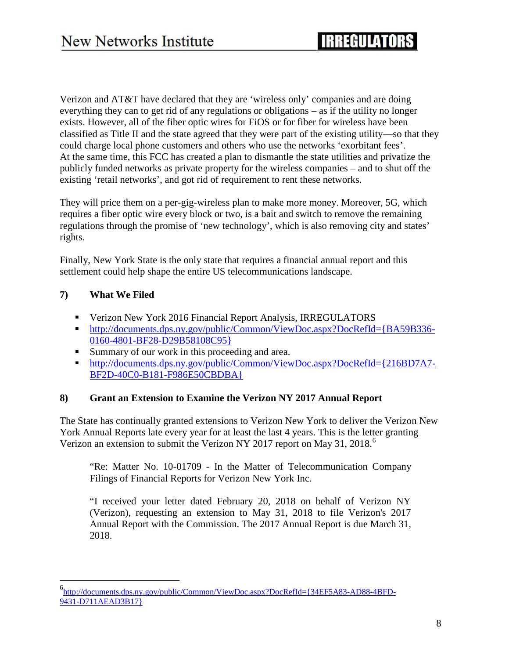Verizon and AT&T have declared that they are 'wireless only' companies and are doing everything they can to get rid of any regulations or obligations – as if the utility no longer exists. However, all of the fiber optic wires for FiOS or for fiber for wireless have been classified as Title II and the state agreed that they were part of the existing utility—so that they could charge local phone customers and others who use the networks 'exorbitant fees'. At the same time, this FCC has created a plan to dismantle the state utilities and privatize the publicly funded networks as private property for the wireless companies – and to shut off the existing 'retail networks', and got rid of requirement to rent these networks.

They will price them on a per-gig-wireless plan to make more money. Moreover, 5G, which requires a fiber optic wire every block or two, is a bait and switch to remove the remaining regulations through the promise of 'new technology', which is also removing city and states' rights.

Finally, New York State is the only state that requires a financial annual report and this settlement could help shape the entire US telecommunications landscape.

### **7) What We Filed**

- Verizon New York 2016 Financial Report Analysis, IRREGULATORS
- http://documents.dps.ny.gov/public/Common/ViewDoc.aspx?DocRefId={BA59B336-0160-4801-BF28-D29B58108C95}
- Summary of our work in this proceeding and area.
- http://documents.dps.ny.gov/public/Common/ViewDoc.aspx?DocRefId={216BD7A7- BF2D-40C0-B181-F986E50CBDBA}

#### **8) Grant an Extension to Examine the Verizon NY 2017 Annual Report**

The State has continually granted extensions to Verizon New York to deliver the Verizon New York Annual Reports late every year for at least the last 4 years. This is the letter granting Verizon an extension to submit the Verizon NY 2017 report on May 31, 2018.<sup>6</sup>

"Re: Matter No. 10-01709 - In the Matter of Telecommunication Company Filings of Financial Reports for Verizon New York Inc.

"I received your letter dated February 20, 2018 on behalf of Verizon NY (Verizon), requesting an extension to May 31, 2018 to file Verizon's 2017 Annual Report with the Commission. The 2017 Annual Report is due March 31, 2018.

<sup>6</sup>http://documents.dps.ny.gov/public/Common/ViewDoc.aspx?DocRefId={34EF5A83-AD88-4BFD- 9431-D711AEAD3B17}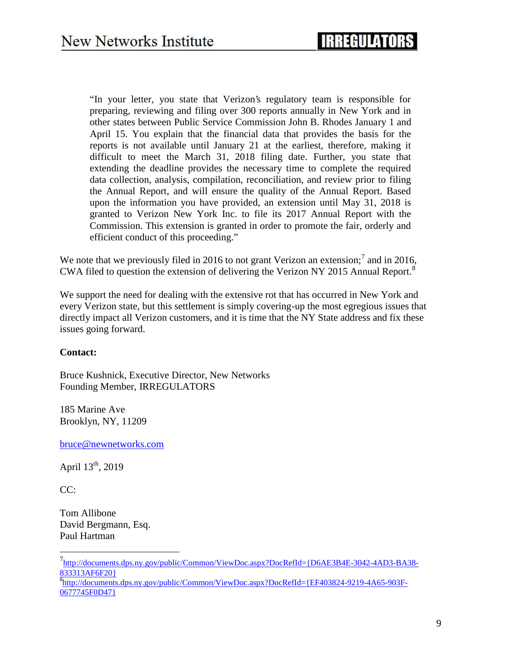"In your letter, you state that Verizon's regulatory team is responsible for preparing, reviewing and filing over 300 reports annually in New York and in other states between Public Service Commission John B. Rhodes January 1 and April 15. You explain that the financial data that provides the basis for the reports is not available until January 21 at the earliest, therefore, making it difficult to meet the March 31, 2018 filing date. Further, you state that extending the deadline provides the necessary time to complete the required data collection, analysis, compilation, reconciliation, and review prior to filing the Annual Report, and will ensure the quality of the Annual Report. Based upon the information you have provided, an extension until May 31, 2018 is granted to Verizon New York Inc. to file its 2017 Annual Report with the Commission. This extension is granted in order to promote the fair, orderly and efficient conduct of this proceeding."

We note that we previously filed in 2016 to not grant Verizon an extension;<sup>7</sup> and in 2016, CWA filed to question the extension of delivering the Verizon NY 2015 Annual Report.<sup>8</sup>

We support the need for dealing with the extensive rot that has occurred in New York and every Verizon state, but this settlement is simply covering-up the most egregious issues that directly impact all Verizon customers, and it is time that the NY State address and fix these issues going forward.

#### **Contact:**

Bruce Kushnick, Executive Director, New Networks Founding Member, IRREGULATORS

185 Marine Ave Brooklyn, NY, 11209

bruce@newnetworks.com

April  $13^{th}$ , 2019

CC:

Tom Allibone David Bergmann, Esq. Paul Hartman

<sup>7</sup>http://documents.dps.ny.gov/public/Common/ViewDoc.aspx?DocRefId={D6AE3B4E-3042-4AD3-BA38- 833313AF6F20}

<sup>8</sup>http://documents.dps.ny.gov/public/Common/ViewDoc.aspx?DocRefId={EF403824-9219-4A65-903F-0677745F0D47}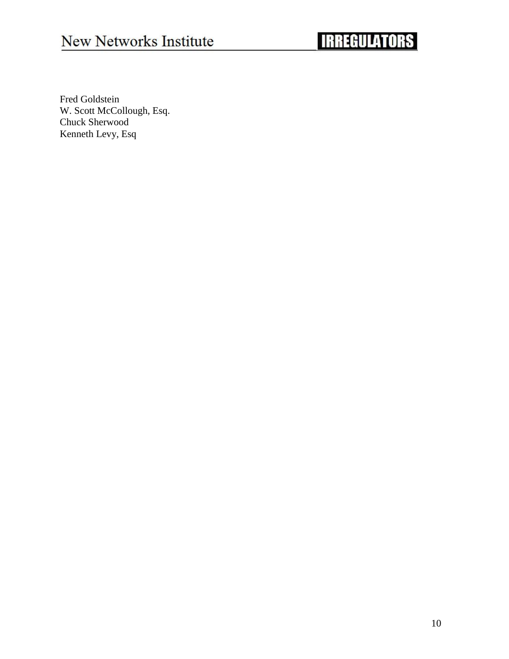# New Networks Institute

# **IRREGULATORS**

Fred Goldstein W. Scott McCollough, Esq. Chuck Sherwood Kenneth Levy, Esq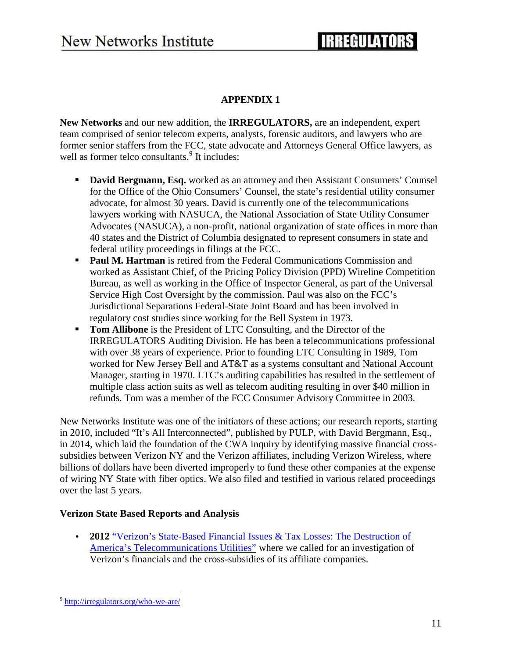### **APPENDIX 1**

**New Networks** and our new addition, the **IRREGULATORS,** are an independent, expert team comprised of senior telecom experts, analysts, forensic auditors, and lawyers who are former senior staffers from the FCC, state advocate and Attorneys General Office lawyers, as well as former telco consultants.<sup>9</sup> It includes:

- **David Bergmann, Esq.** worked as an attorney and then Assistant Consumers' Counsel for the Office of the Ohio Consumers' Counsel, the state's residential utility consumer advocate, for almost 30 years. David is currently one of the telecommunications lawyers working with NASUCA, the National Association of State Utility Consumer Advocates (NASUCA), a non-profit, national organization of state offices in more than 40 states and the District of Columbia designated to represent consumers in state and federal utility proceedings in filings at the FCC.
- **Paul M. Hartman** is retired from the Federal Communications Commission and worked as Assistant Chief, of the Pricing Policy Division (PPD) Wireline Competition Bureau, as well as working in the Office of Inspector General, as part of the Universal Service High Cost Oversight by the commission. Paul was also on the FCC's Jurisdictional Separations Federal-State Joint Board and has been involved in regulatory cost studies since working for the Bell System in 1973.
- **Tom Allibone** is the President of LTC Consulting, and the Director of the IRREGULATORS Auditing Division. He has been a telecommunications professional with over 38 years of experience. Prior to founding LTC Consulting in 1989, Tom worked for New Jersey Bell and AT&T as a systems consultant and National Account Manager, starting in 1970. LTC's auditing capabilities has resulted in the settlement of multiple class action suits as well as telecom auditing resulting in over \$40 million in refunds. Tom was a member of the FCC Consumer Advisory Committee in 2003.

New Networks Institute was one of the initiators of these actions; our research reports, starting in 2010, included "It's All Interconnected", published by PULP, with David Bergmann, Esq., in 2014, which laid the foundation of the CWA inquiry by identifying massive financial cross subsidies between Verizon NY and the Verizon affiliates, including Verizon Wireless, where billions of dollars have been diverted improperly to fund these other companies at the expense of wiring NY State with fiber optics. We also filed and testified in various related proceedings over the last 5 years.

#### **Verizon State Based Reports and Analysis**

 **2012** "Verizon's State-Based Financial Issues & Tax Losses: The Destruction of America's Telecommunications Utilities" where we called for an investigation of Verizon's financials and the cross-subsidies of its affiliate companies.

<sup>9</sup> http://irregulators.org/who-we-are/